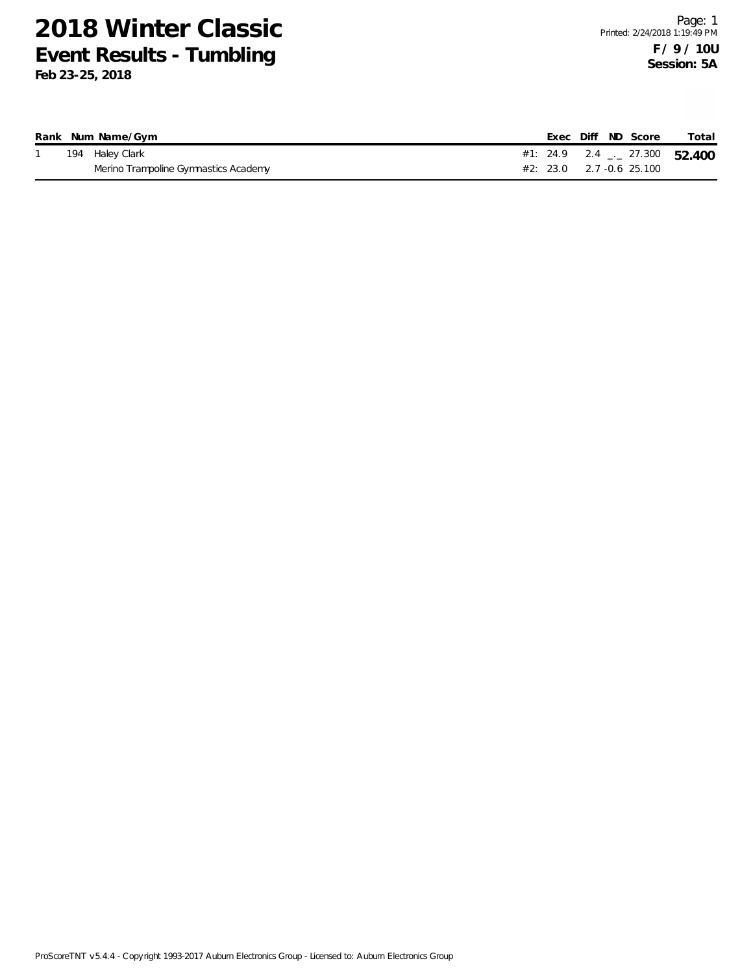|  | Rank Num Name/Gym                    |  |  | Exec Diff ND Score         | Total                                    |
|--|--------------------------------------|--|--|----------------------------|------------------------------------------|
|  | 194 Haley Clark                      |  |  |                            | #1: 24.9 2.4 $\frac{1}{2}$ 27.300 52.400 |
|  | Merino Trampoline Gymnastics Academy |  |  | $#2: 23.0$ 2.7 -0.6 25.100 |                                          |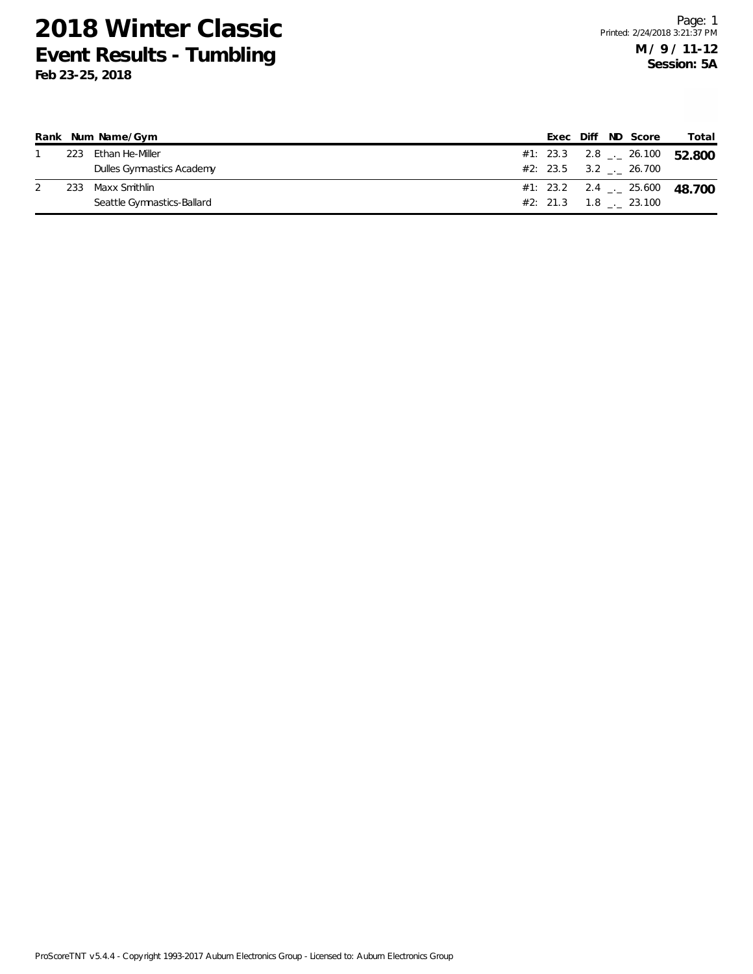|     | Rank Num Name/Gym          |  |  | Exec Diff ND Score            | Total                             |
|-----|----------------------------|--|--|-------------------------------|-----------------------------------|
| 223 | Ethan He-Miller            |  |  |                               | #1: 23.3 2.8 $\leq$ 26.100 52.800 |
|     | Dulles Gymnastics Academy  |  |  | $#2: 23.5 \t 3.2 \t . 26.700$ |                                   |
| 233 | Maxx Smithlin              |  |  |                               |                                   |
|     | Seattle Gymnastics-Ballard |  |  | $#2: 21.3 \t1.8 \t23.100$     |                                   |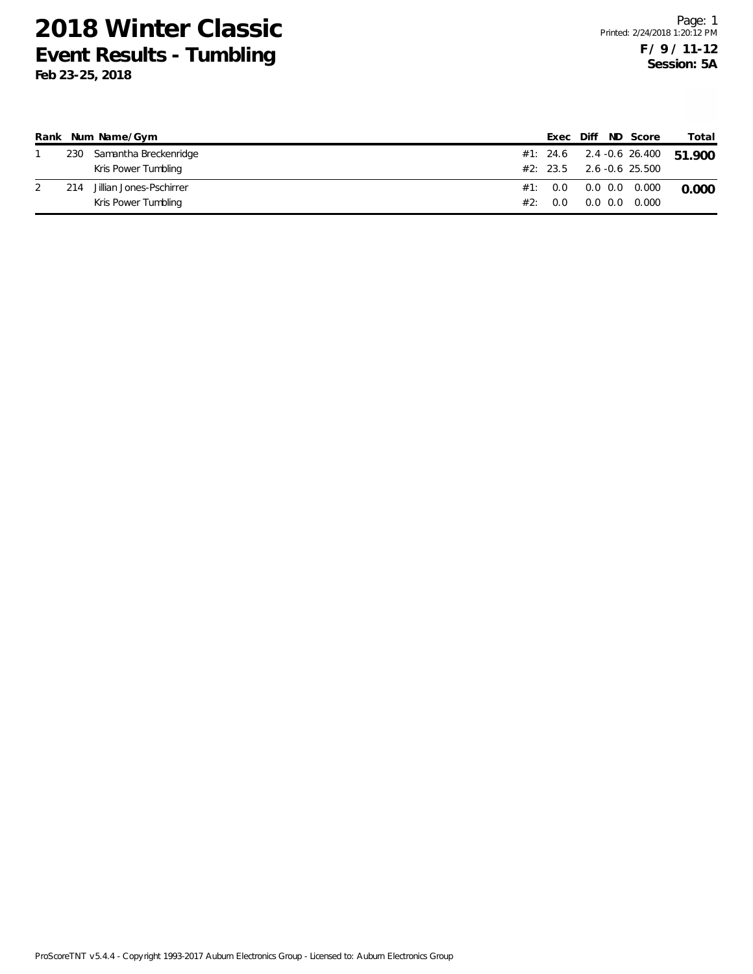|     | Rank Num Name/Gym         |     |     | Exec Diff ND Score              | Total |
|-----|---------------------------|-----|-----|---------------------------------|-------|
|     | 230 Samantha Breckenridge |     |     | #1: 24.6 2.4 -0.6 26.400 51.900 |       |
|     | Kris Power Tumbling       |     |     | $#2: 23.5$ 2.6 -0.6 25.500      |       |
| 214 | Jillian Jones-Pschirrer   |     |     | #1: 0.0 0.0 0.0 0.000           | 0.000 |
|     | Kris Power Tumbling       | #2: | 0.0 | 0.0 0.0 0.000                   |       |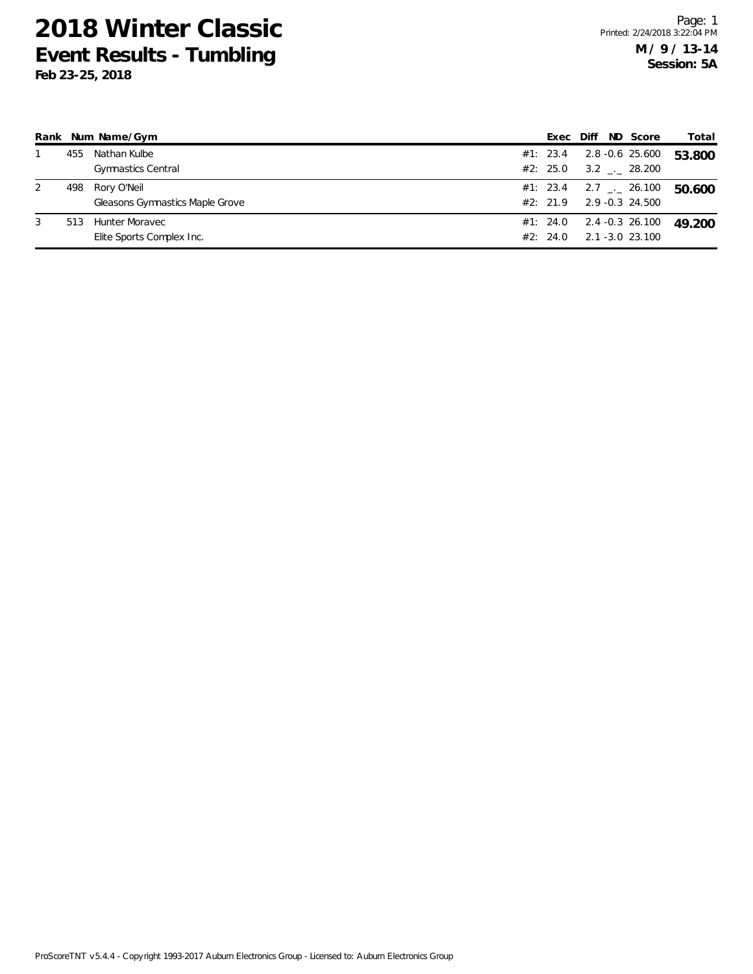| Rank |     | Num Name/Gym                                   | Exec                 | Diff | ND Score                                        | Total  |
|------|-----|------------------------------------------------|----------------------|------|-------------------------------------------------|--------|
|      | 455 | Nathan Kulbe<br><b>Gymnastics Central</b>      | #1: 23.4<br>#2: 25.0 |      | 2.8 -0.6 25.600<br>3.2 . 28.200                 | 53.800 |
| 2    | 498 | Rory O'Neil<br>Gleasons Gymnastics Maple Grove | #1: 23.4<br>#2: 21.9 |      | $2.7$ $_{\leftarrow}$ 26.100<br>2.9 -0.3 24.500 | 50.600 |
| 3    | 513 | Hunter Moravec<br>Elite Sports Complex Inc.    | #1: 24.0<br>#2: 24.0 |      | 2.4 -0.3 26.100<br>2.1 -3.0 23.100              | 49.200 |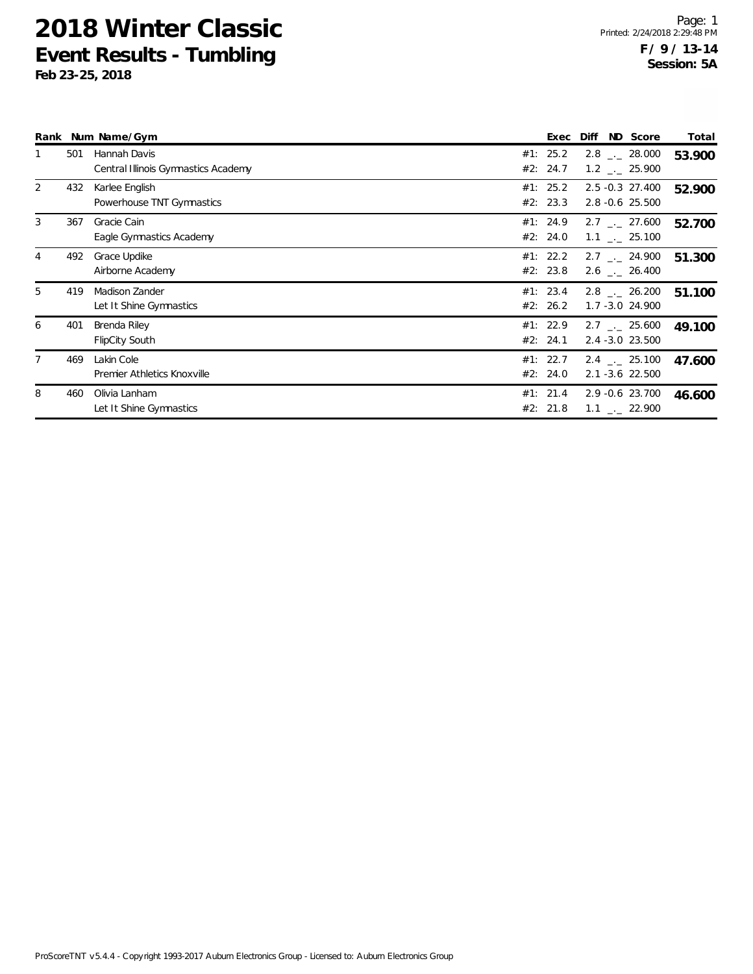|                |     | Rank Num Name/Gym                                   | Exec                 | Diff | ND Score                                               | Total  |
|----------------|-----|-----------------------------------------------------|----------------------|------|--------------------------------------------------------|--------|
|                | 501 | Hannah Davis<br>Central Illinois Gymnastics Academy | #1: 25.2<br>#2: 24.7 |      | $2.8$ $_{\sim}$ 28.000<br>$1.2$ $_{\leftarrow}$ 25.900 | 53.900 |
| $\overline{2}$ | 432 | Karlee English<br>Powerhouse TNT Gymnastics         | #1: 25.2<br>#2: 23.3 |      | 2.5 -0.3 27.400<br>2.8 -0.6 25.500                     | 52.900 |
| 3              | 367 | Gracie Cain<br>Eagle Gymnastics Academy             | #1: 24.9<br>#2: 24.0 |      | $2.7$ $_{\sim}$ 27.600<br>$1.1$ _._ 25.100             | 52.700 |
| 4              | 492 | Grace Updike<br>Airborne Academy                    | #1: 22.2<br>#2: 23.8 |      | $2.7$ $_{\leftarrow}$ 24.900<br>$2.6$ $_{\sim}$ 26.400 | 51.300 |
| 5              | 419 | Madison Zander<br>Let It Shine Gymnastics           | #1: 23.4<br>#2: 26.2 |      | $2.8$ $_{\sim}$ 26.200<br>$1.7 - 3.0$ 24.900           | 51.100 |
| 6              | 401 | Brenda Riley<br><b>FlipCity South</b>               | #1: 22.9<br>#2: 24.1 |      | $2.7$ $_{\sim}$ 25.600<br>2.4 -3.0 23.500              | 49.100 |
| $\overline{7}$ | 469 | Lakin Cole<br>Premier Athletics Knoxville           | #1: 22.7<br>#2: 24.0 |      | $2.4$ $_{\sim}$ 25.100<br>2.1 -3.6 22.500              | 47.600 |
| 8              | 460 | Olivia Lanham<br>Let It Shine Gymnastics            | #1: 21.4<br>#2: 21.8 |      | 2.9 -0.6 23.700<br>$1.1$ $_{-}$ 22.900                 | 46.600 |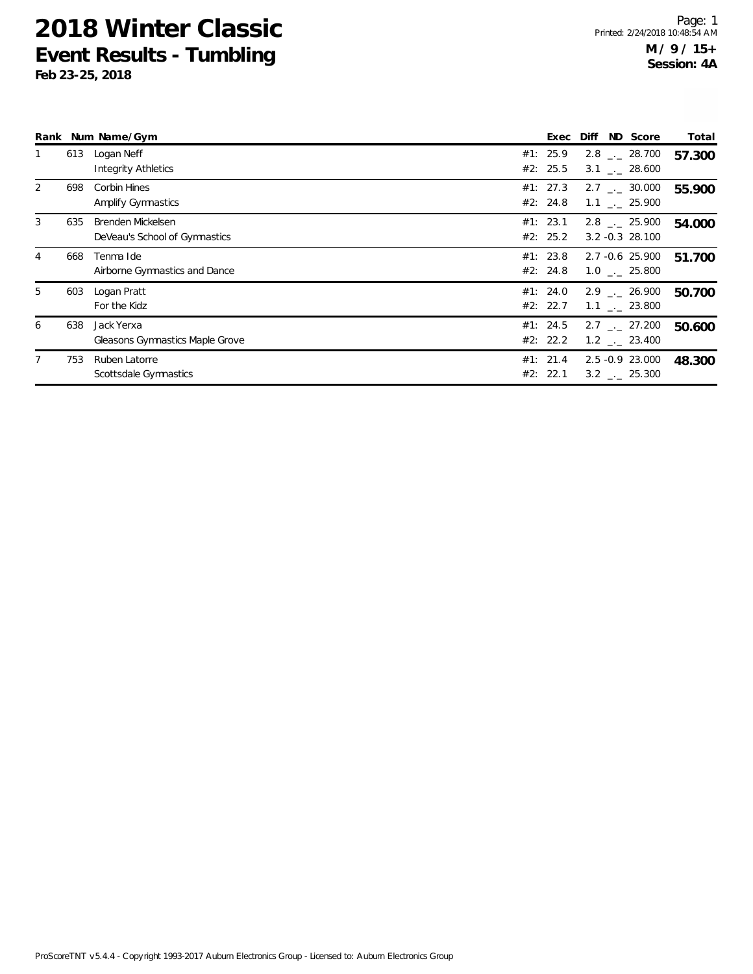|                |     | Rank Num Name/Gym                                  | Exec                 | Diff | ND Score                                               | Total  |
|----------------|-----|----------------------------------------------------|----------------------|------|--------------------------------------------------------|--------|
|                | 613 | Logan Neff<br><b>Integrity Athletics</b>           | #1: 25.9<br>#2: 25.5 |      | $2.8$ $_{\sim}$ 28.700<br>3.1 . 28.600                 | 57.300 |
| $\overline{2}$ | 698 | Corbin Hines<br>Amplify Gymnastics                 | #1: 27.3<br>#2: 24.8 |      | $2.7$ $_{--}$ 30.000<br>$1.1$ $_{-}$ 25.900            | 55.900 |
| 3              | 635 | Brenden Mickelsen<br>DeVeau's School of Gymnastics | #1: 23.1<br>#2: 25.2 |      | $2.8$ $_{\sim}$ 25.900<br>$3.2 - 0.3$ 28.100           | 54.000 |
| 4              | 668 | Tenma Ide<br>Airborne Gymnastics and Dance         | #1: 23.8<br>#2: 24.8 |      | 2.7 -0.6 25.900<br>$1.0$ . 25.800                      | 51.700 |
| 5              | 603 | Logan Pratt<br>For the Kidz                        | #1: 24.0<br>#2: 22.7 |      | $2.9$ $_{--}$ 26.900<br>$1.1$ _. 23.800                | 50.700 |
| 6              | 638 | Jack Yerxa<br>Gleasons Gymnastics Maple Grove      | #1: 24.5<br>#2: 22.2 |      | $2.7$ $_{\sim}$ 27.200<br>$1.2$ $_{\leftarrow}$ 23.400 | 50.600 |
|                | 753 | Ruben Latorre<br>Scottsdale Gymnastics             | #1: 21.4<br>#2: 22.1 |      | 2.5 -0.9 23.000<br>$3.2$ $_{\sim}$ 25.300              | 48.300 |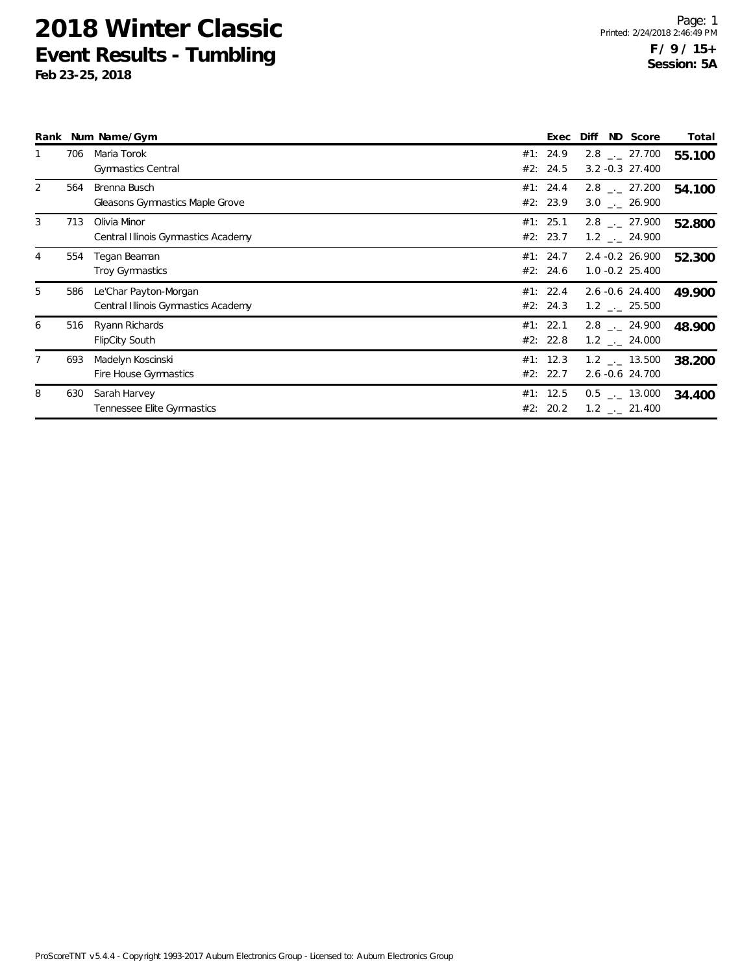|                |     | Rank Num Name/Gym                                            | Exec                 | Diff | ND Score                                               | Total  |
|----------------|-----|--------------------------------------------------------------|----------------------|------|--------------------------------------------------------|--------|
|                | 706 | Maria Torok<br><b>Gymnastics Central</b>                     | #1: 24.9<br>#2: 24.5 |      | $2.8$ $_{\leftarrow}$ 27.700<br>$3.2 - 0.3$ 27.400     | 55.100 |
| 2              | 564 | Brenna Busch<br><b>Gleasons Gymnastics Maple Grove</b>       | #1: 24.4<br>#2: 23.9 |      | $2.8$ $_{\leftarrow}$ 27.200<br>$3.0$ _ 26.900         | 54.100 |
| 3              | 713 | Olivia Minor<br>Central Illinois Gymnastics Academy          | #1: 25.1<br>#2: 23.7 |      | $2.8$ $_{\sim}$ 27.900<br>$1.2$ $_{\leftarrow}$ 24.900 | 52.800 |
| 4              | 554 | Tegan Beaman<br><b>Troy Gymnastics</b>                       | #1: 24.7<br>#2: 24.6 |      | $2.4 - 0.2$ 26.900<br>$1.0 - 0.2$ 25.400               | 52.300 |
| 5              | 586 | Le'Char Payton-Morgan<br>Central Illinois Gymnastics Academy | #1: 22.4<br>#2: 24.3 |      | 2.6 -0.6 24.400<br>$1.2$ $_{\leftarrow}$ 25.500        | 49.900 |
| 6              | 516 | Ryann Richards<br><b>FlipCity South</b>                      | #1: 22.1<br>#2: 22.8 |      | $2.8$ $_{\sim}$ 24.900<br>$1.2$ _._ 24.000             | 48.900 |
| $\overline{7}$ | 693 | Madelyn Koscinski<br>Fire House Gymnastics                   | #1: 12.3<br>#2: 22.7 |      | $1.2$ _._ 13.500<br>2.6 -0.6 24.700                    | 38.200 |
| 8              | 630 | Sarah Harvey<br>Tennessee Elite Gymnastics                   | #1: 12.5<br>#2: 20.2 |      | $0.5$ $_{\leftarrow}$ 13.000<br>$1.2$ $_{-}$ 21.400    | 34.400 |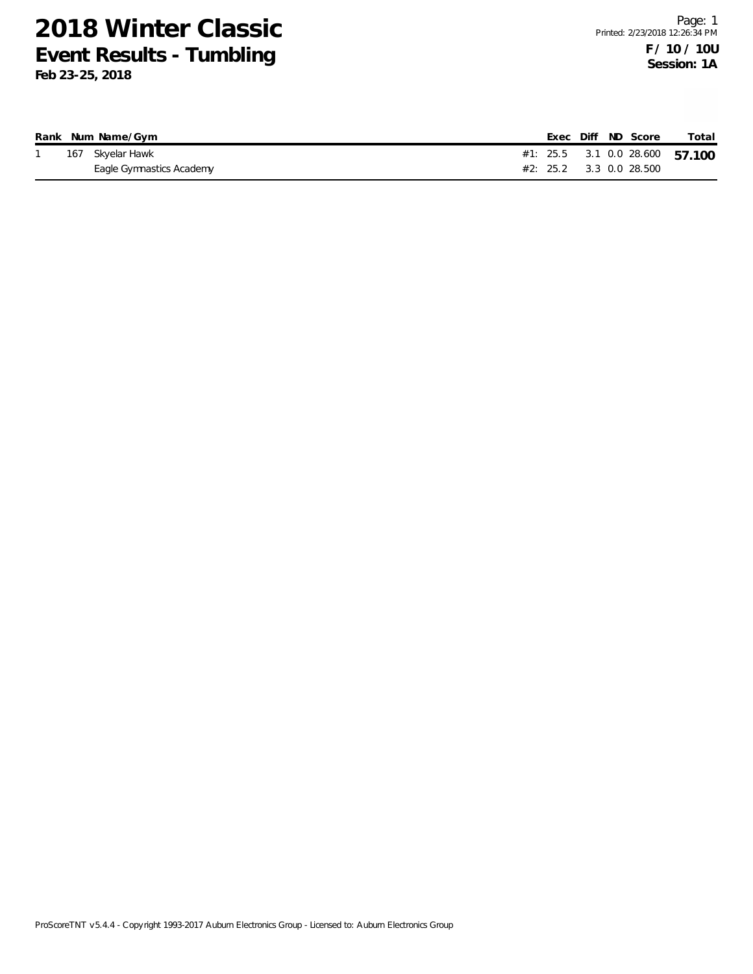|  | Rank Num Name/Gym        |  |  | Exec Diff ND Score          | Total                          |
|--|--------------------------|--|--|-----------------------------|--------------------------------|
|  | 167 Skyelar Hawk         |  |  |                             | #1: 25.5 3.1 0.0 28.600 57.100 |
|  | Eagle Gymnastics Academy |  |  | $\#2$ : 25.2 3.3 0.0 28.500 |                                |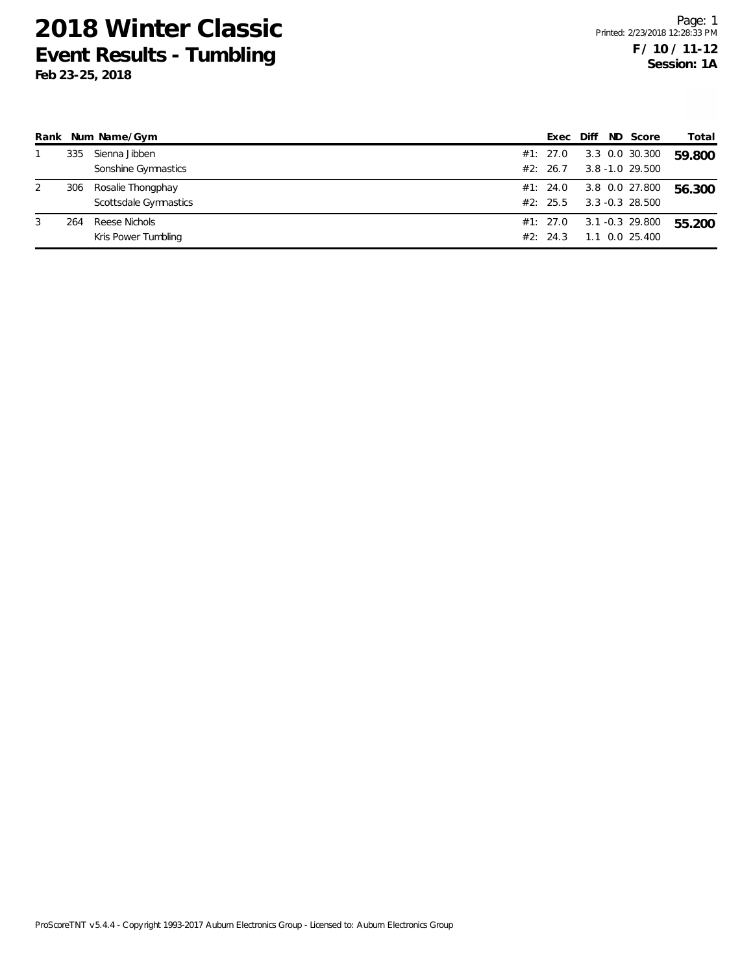| Rank |     | Num Name/Gym          | Exec     | Diff | ND Score           | Total  |
|------|-----|-----------------------|----------|------|--------------------|--------|
|      | 335 | Sienna Jibben         | #1: 27.0 |      | 3.3 0.0 30.300     | 59.800 |
|      |     | Sonshine Gymnastics   | #2: 26.7 |      | $3.8 - 1.0$ 29.500 |        |
| 2    | 306 | Rosalie Thongphay     | #1: 24.0 |      | 3.8 0.0 27.800     | 56.300 |
|      |     | Scottsdale Gymnastics | #2: 25.5 |      | $3.3 - 0.3$ 28.500 |        |
| 3    | 264 | Reese Nichols         | #1: 27.0 |      | 3.1 -0.3 29.800    | 55.200 |
|      |     | Kris Power Tumbling   | #2: 24.3 |      | 1.1 0.0 25.400     |        |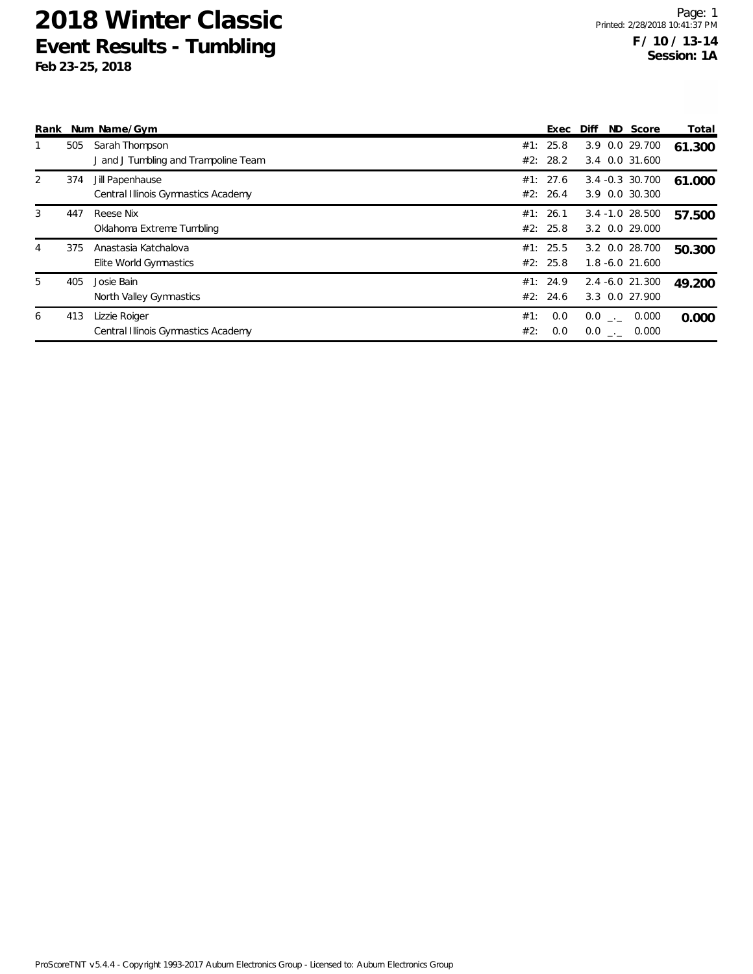| Rank |     | Num Name/Gym                                           |            | Exec                 | Diff |              | ND Score                             | Total  |
|------|-----|--------------------------------------------------------|------------|----------------------|------|--------------|--------------------------------------|--------|
|      | 505 | Sarah Thompson<br>J and J Tumbling and Trampoline Team |            | #1: 25.8<br>#2: 28.2 |      |              | 3.9 0.0 29.700<br>3.4 0.0 31.600     | 61.300 |
| 2    | 374 | Jill Papenhause<br>Central Illinois Gymnastics Academy |            | #1: 27.6<br>#2: 26.4 |      |              | 3.4 -0.3 30.700<br>3.9 0.0 30.300    | 61.000 |
| 3    | 447 | Reese Nix<br>Oklahoma Extreme Tumbling                 |            | #1: 26.1<br>#2: 25.8 |      |              | $3.4 - 1.0$ 28.500<br>3.2 0.0 29.000 | 57.500 |
| 4    | 375 | Anastasia Katchalova<br>Elite World Gymnastics         |            | #1: 25.5<br>#2: 25.8 |      |              | 3.2 0.0 28.700<br>$1.8 - 6.0$ 21.600 | 50.300 |
| 5    | 405 | Josie Bain<br>North Valley Gymnastics                  |            | #1: 24.9<br>#2: 24.6 |      |              | $2.4 - 6.0$ 21.300<br>3.3 0.0 27.900 | 49.200 |
| 6    | 413 | Lizzie Roiger<br>Central Illinois Gymnastics Academy   | #1:<br>#2: | 0.0<br>0.0           |      | $0.0$ $_{-}$ | 0.000<br>$0.0$ _._ 0.000             | 0.000  |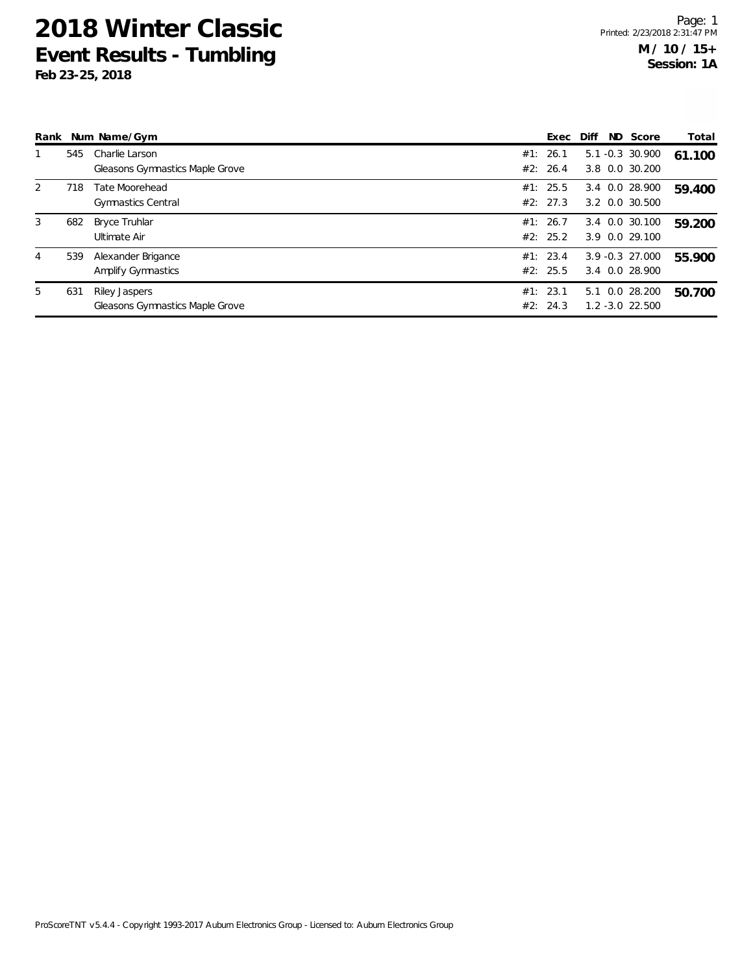|   |     | Rank Num Name/Gym                      | Exec     | Diff | ND Score           | Total  |
|---|-----|----------------------------------------|----------|------|--------------------|--------|
|   | 545 | Charlie Larson                         | #1: 26.1 |      | $5.1 - 0.3$ 30.900 | 61.100 |
|   |     | Gleasons Gymnastics Maple Grove        | #2: 26.4 |      | 3.8 0.0 30.200     |        |
| 2 | 718 | Tate Moorehead                         | #1: 25.5 |      | 3.4 0.0 28.900     | 59.400 |
|   |     | <b>Gymnastics Central</b>              | #2: 27.3 |      | 3.2 0.0 30.500     |        |
| 3 | 682 | Bryce Truhlar                          | #1: 26.7 |      | 3.4 0.0 30.100     | 59.200 |
|   |     | Ultimate Air                           | #2: 25.2 |      | 3.9 0.0 29.100     |        |
| 4 | 539 | Alexander Brigance                     | #1: 23.4 |      | $3.9 - 0.3$ 27.000 | 55.900 |
|   |     | Amplify Gymnastics                     | #2: 25.5 |      | 3.4 0.0 28.900     |        |
| 5 | 631 | Riley Jaspers                          | #1: 23.1 |      | 5.1 0.0 28.200     | 50.700 |
|   |     | <b>Gleasons Gymnastics Maple Grove</b> | #2: 24.3 |      | $1.2 - 3.0$ 22.500 |        |